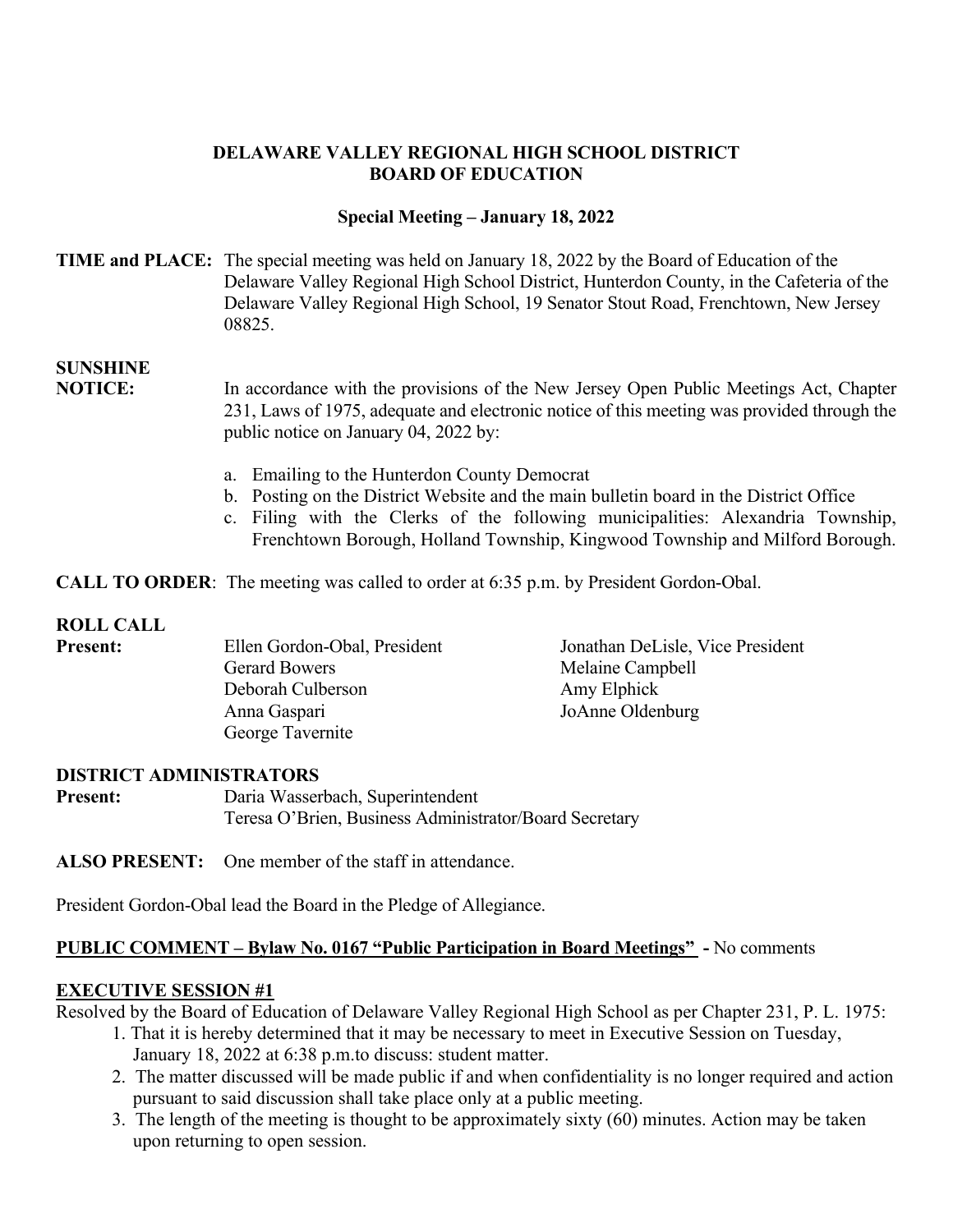### **DELAWARE VALLEY REGIONAL HIGH SCHOOL DISTRICT BOARD OF EDUCATION**

#### **Special Meeting – January 18, 2022**

#### **TIME and PLACE:** The special meeting was held on January 18, 2022 by the Board of Education of the Delaware Valley Regional High School District, Hunterdon County, in the Cafeteria of the Delaware Valley Regional High School, 19 Senator Stout Road, Frenchtown, New Jersey 08825.

# **SUNSHINE**

 public notice on January 04, 2022 by: **NOTICE:** In accordance with the provisions of the New Jersey Open Public Meetings Act, Chapter 231, Laws of 1975, adequate and electronic notice of this meeting was provided through the

- a. Emailing to the Hunterdon County Democrat
- b. Posting on the District Website and the main bulletin board in the District Office
- c. Filing with the Clerks of the following municipalities: Alexandria Township, Frenchtown Borough, Holland Township, Kingwood Township and Milford Borough.

**CALL TO ORDER**: The meeting was called to order at 6:35 p.m. by President Gordon-Obal.

### **ROLL CALL**

| <b>Present:</b> | Ellen Gordon-Obal, President | Jonathan DeLisle, Vice President |
|-----------------|------------------------------|----------------------------------|
|                 | <b>Gerard Bowers</b>         | Melaine Campbell                 |
|                 | Deborah Culberson            | Amy Elphick                      |
|                 | Anna Gaspari                 | JoAnne Oldenburg                 |
|                 | George Tavernite             |                                  |

### **DISTRICT ADMINISTRATORS**

Daria Wasserbach, Superintendent **Present:** Daria Wasserbach, Superintendent Teresa O'Brien, Business Administrator/Board Secretary

**ALSO PRESENT:** One member of the staff in attendance.

President Gordon-Obal lead the Board in the Pledge of Allegiance.

### **PUBLIC COMMENT – Bylaw No. 0167 "Public Participation in Board Meetings"** - No comments

### **EXECUTIVE SESSION #1**

Resolved by the Board of Education of Delaware Valley Regional High School as per Chapter 231, P. L. 1975:<br>1. That it is hereby determined that it may be necessary to meet in Executive Session on Tuesday,

- January 18, 2022 at 6:38 p.m.to discuss: student matter.
- 2. The matter discussed will be made public if and when confidentiality is no longer required and action pursuant to said discussion shall take place only at a public meeting.
- pursuant to said discussion shall take place only at a public meeting.<br>3. The length of the meeting is thought to be approximately sixty (60) minutes. Action may be taken upon returning to open session.